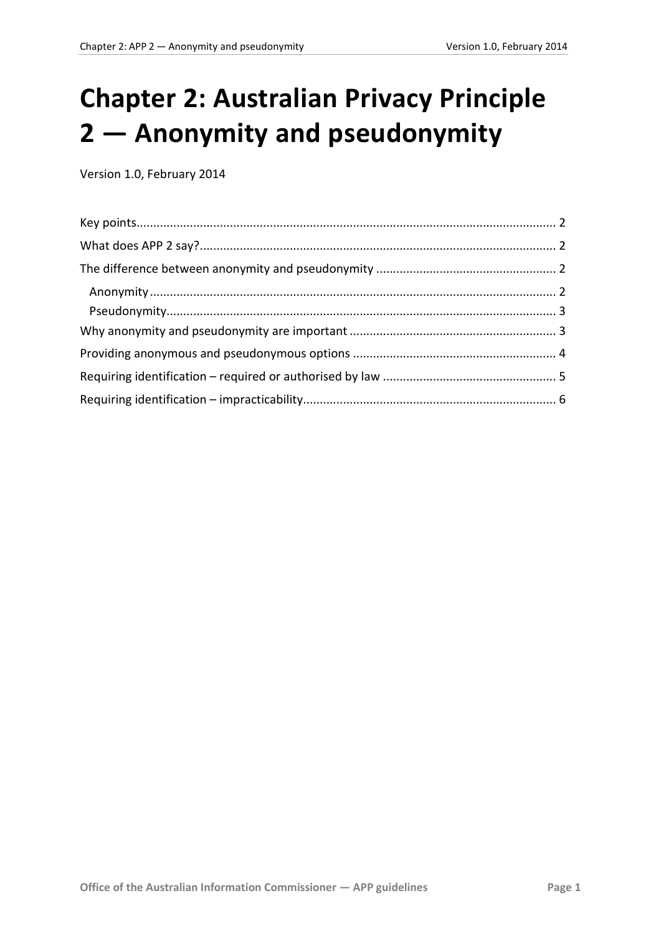# **Chapter 2: Australian Privacy Principle 2 — Anonymity and pseudonymity**

Version 1.0, February 2014

<span id="page-0-0"></span>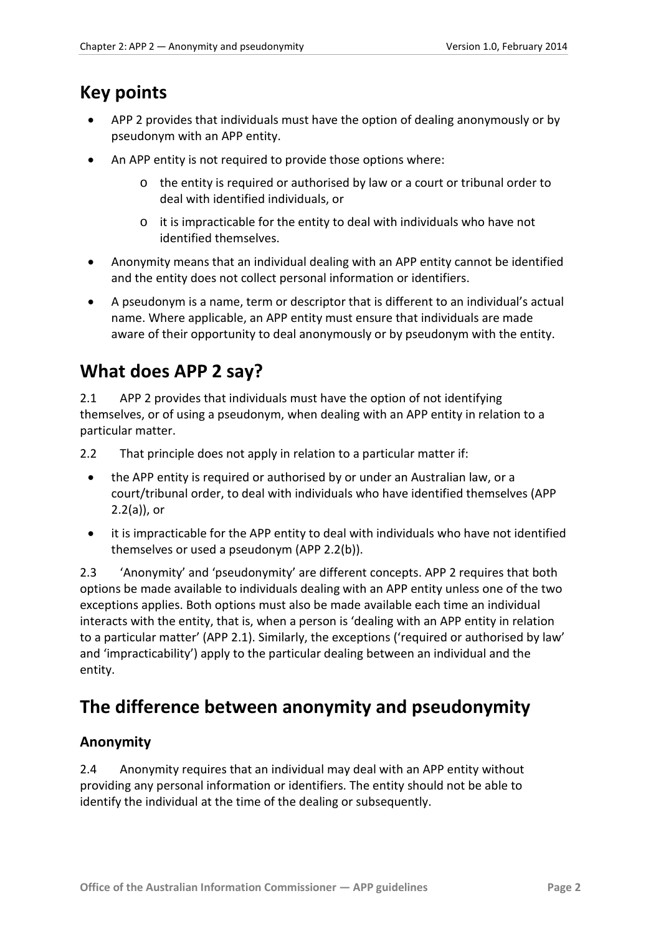### <span id="page-1-0"></span>**Key points**

- APP 2 provides that individuals must have the option of dealing anonymously or by pseudonym with an APP entity.
- An APP entity is not required to provide those options where:
	- o the entity is required or authorised by law or a court or tribunal order to deal with identified individuals, or
	- o it is impracticable for the entity to deal with individuals who have not identified themselves.
- Anonymity means that an individual dealing with an APP entity cannot be identified and the entity does not collect personal information or identifiers.
- A pseudonym is a name, term or descriptor that is different to an individual's actual name. Where applicable, an APP entity must ensure that individuals are made aware of their opportunity to deal anonymously or by pseudonym with the entity.

# <span id="page-1-1"></span>**What does APP 2 say?**

2.1 APP 2 provides that individuals must have the option of not identifying themselves, or of using a pseudonym, when dealing with an APP entity in relation to a particular matter.

2.2 That principle does not apply in relation to a particular matter if:

- the APP entity is required or authorised by or under an Australian law, or a court/tribunal order, to deal with individuals who have identified themselves (APP 2.2(a)), or
- it is impracticable for the APP entity to deal with individuals who have not identified themselves or used a pseudonym (APP 2.2(b)).

2.3 'Anonymity' and 'pseudonymity' are different concepts. APP 2 requires that both options be made available to individuals dealing with an APP entity unless one of the two exceptions applies. Both options must also be made available each time an individual interacts with the entity, that is, when a person is 'dealing with an APP entity in relation to a particular matter' (APP 2.1). Similarly, the exceptions ('required or authorised by law' and 'impracticability') apply to the particular dealing between an individual and the entity.

# <span id="page-1-2"></span>**The difference between anonymity and pseudonymity**

#### <span id="page-1-3"></span>**Anonymity**

2.4 Anonymity requires that an individual may deal with an APP entity without providing any personal information or identifiers. The entity should not be able to identify the individual at the time of the dealing or subsequently.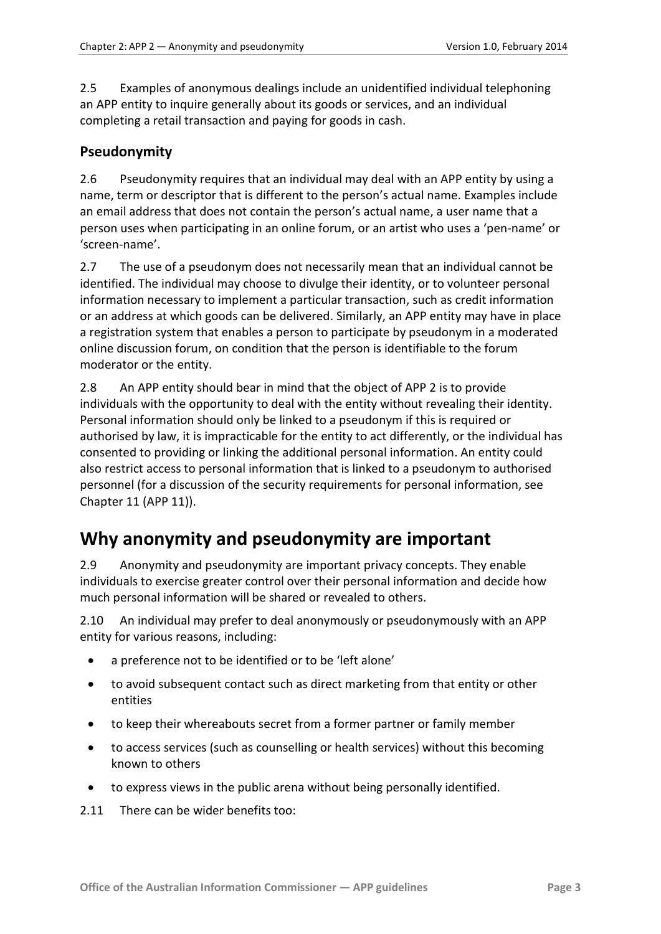2.5 Examples of anonymous dealings include an unidentified individual telephoning an APP entity to inquire generally about its goods or services, and an individual completing a retail transaction and paying for goods in cash.

#### <span id="page-2-0"></span>**Pseudonymity**

2.6 Pseudonymity requires that an individual may deal with an APP entity by using a name, term or descriptor that is different to the person's actual name. Examples include an email address that does not contain the person's actual name, a user name that a person uses when participating in an online forum, or an artist who uses a 'pen-name' or 'screen-name'.

2.7 The use of a pseudonym does not necessarily mean that an individual cannot be identified. The individual may choose to divulge their identity, or to volunteer personal information necessary to implement a particular transaction, such as credit information or an address at which goods can be delivered. Similarly, an APP entity may have in place a registration system that enables a person to participate by pseudonym in a moderated online discussion forum, on condition that the person is identifiable to the forum moderator or the entity.

2.8 An APP entity should bear in mind that the object of APP 2 is to provide individuals with the opportunity to deal with the entity without revealing their identity. Personal information should only be linked to a pseudonym if this is required or authorised by law, it is impracticable for the entity to act differently, or the individual has consented to providing or linking the additional personal information. An entity could also restrict access to personal information that is linked to a pseudonym to authorised personnel (for a discussion of the security requirements for personal information, see Chapter 11 (APP 11)).

# <span id="page-2-1"></span>**Why anonymity and pseudonymity are important**

2.9 Anonymity and pseudonymity are important privacy concepts. They enable individuals to exercise greater control over their personal information and decide how much personal information will be shared or revealed to others.

2.10 An individual may prefer to deal anonymously or pseudonymously with an APP entity for various reasons, including:

- a preference not to be identified or to be 'left alone'
- to avoid subsequent contact such as direct marketing from that entity or other entities
- to keep their whereabouts secret from a former partner or family member
- to access services (such as counselling or health services) without this becoming known to others
- to express views in the public arena without being personally identified.

2.11 There can be wider benefits too: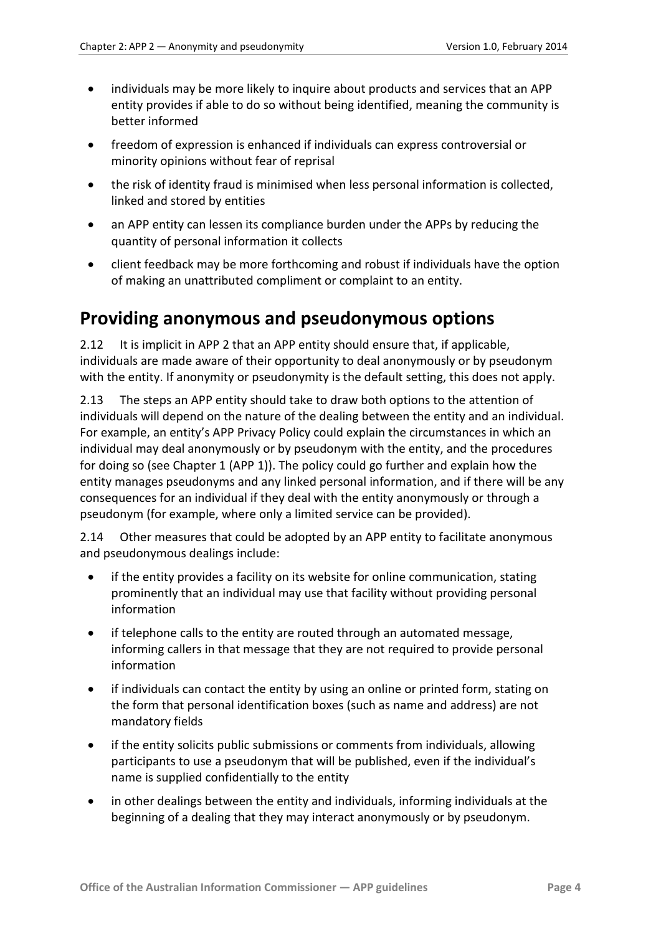- individuals may be more likely to inquire about products and services that an APP entity provides if able to do so without being identified, meaning the community is better informed
- freedom of expression is enhanced if individuals can express controversial or minority opinions without fear of reprisal
- the risk of identity fraud is minimised when less personal information is collected, linked and stored by entities
- an APP entity can lessen its compliance burden under the APPs by reducing the quantity of personal information it collects
- client feedback may be more forthcoming and robust if individuals have the option of making an unattributed compliment or complaint to an entity.

### <span id="page-3-0"></span>**Providing anonymous and pseudonymous options**

2.12 It is implicit in APP 2 that an APP entity should ensure that, if applicable, individuals are made aware of their opportunity to deal anonymously or by pseudonym with the entity. If anonymity or pseudonymity is the default setting, this does not apply.

2.13 The steps an APP entity should take to draw both options to the attention of individuals will depend on the nature of the dealing between the entity and an individual. For example, an entity's APP Privacy Policy could explain the circumstances in which an individual may deal anonymously or by pseudonym with the entity, and the procedures for doing so (see Chapter 1 (APP 1)). The policy could go further and explain how the entity manages pseudonyms and any linked personal information, and if there will be any consequences for an individual if they deal with the entity anonymously or through a pseudonym (for example, where only a limited service can be provided).

2.14 Other measures that could be adopted by an APP entity to facilitate anonymous and pseudonymous dealings include:

- if the entity provides a facility on its website for online communication, stating prominently that an individual may use that facility without providing personal information
- if telephone calls to the entity are routed through an automated message, informing callers in that message that they are not required to provide personal information
- if individuals can contact the entity by using an online or printed form, stating on the form that personal identification boxes (such as name and address) are not mandatory fields
- if the entity solicits public submissions or comments from individuals, allowing participants to use a pseudonym that will be published, even if the individual's name is supplied confidentially to the entity
- in other dealings between the entity and individuals, informing individuals at the beginning of a dealing that they may interact anonymously or by pseudonym.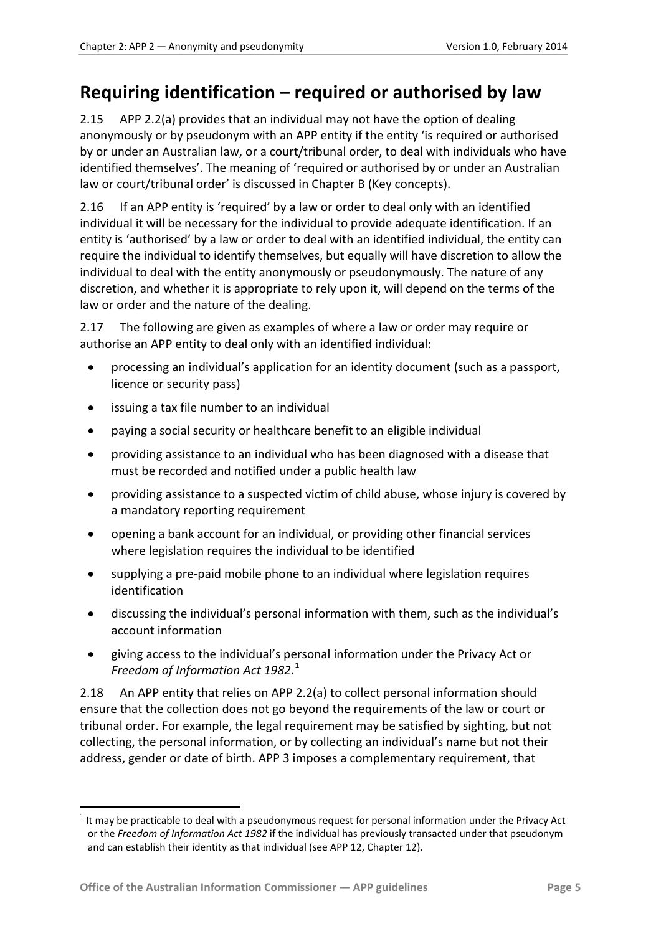### <span id="page-4-0"></span>**Requiring identification – required or authorised by law**

<span id="page-4-1"></span>2.15 APP 2.2(a) provides that an individual may not have the option of dealing anonymously or by pseudonym with an APP entity if the entity 'is required or authorised by or under an Australian law, or a court/tribunal order, to deal with individuals who have identified themselves'. The meaning of 'required or authorised by or under an Australian law or court/tribunal order' is discussed in Chapter B (Key concepts).

2.16 If an APP entity is 'required' by a law or order to deal only with an identified individual it will be necessary for the individual to provide adequate identification. If an entity is 'authorised' by a law or order to deal with an identified individual, the entity can require the individual to identify themselves, but equally will have discretion to allow the individual to deal with the entity anonymously or pseudonymously. The nature of any discretion, and whether it is appropriate to rely upon it, will depend on the terms of the law or order and the nature of the dealing.

2.17 The following are given as examples of where a law or order may require or authorise an APP entity to deal only with an identified individual:

- processing an individual's application for an identity document (such as a passport, licence or security pass)
- issuing a tax file number to an individual
- paying a social security or healthcare benefit to an eligible individual
- providing assistance to an individual who has been diagnosed with a disease that must be recorded and notified under a public health law
- providing assistance to a suspected victim of child abuse, whose injury is covered by a mandatory reporting requirement
- opening a bank account for an individual, or providing other financial services where legislation requires the individual to be identified
- supplying a pre-paid mobile phone to an individual where legislation requires identification
- discussing the individual's personal information with them, such as the individual's account information
- giving access to the individual's personal information under the Privacy Act or *Freedom of Information Act 1982*. [1](#page-0-0)

<span id="page-4-2"></span>2.18 An APP entity that relies on APP 2.2(a) to collect personal information should ensure that the collection does not go beyond the requirements of the law or court or tribunal order. For example, the legal requirement may be satisfied by sighting, but not collecting, the personal information, or by collecting an individual's name but not their address, gender or date of birth. APP 3 imposes a complementary requirement, that

<u>.</u>

<sup>1</sup> It may be practicable to deal with a pseudonymous request for personal information under the Privacy Act or the *Freedom of Information Act 1982* if the individual has previously transacted under that pseudonym and can establish their identity as that individual (see APP 12, Chapter 12).